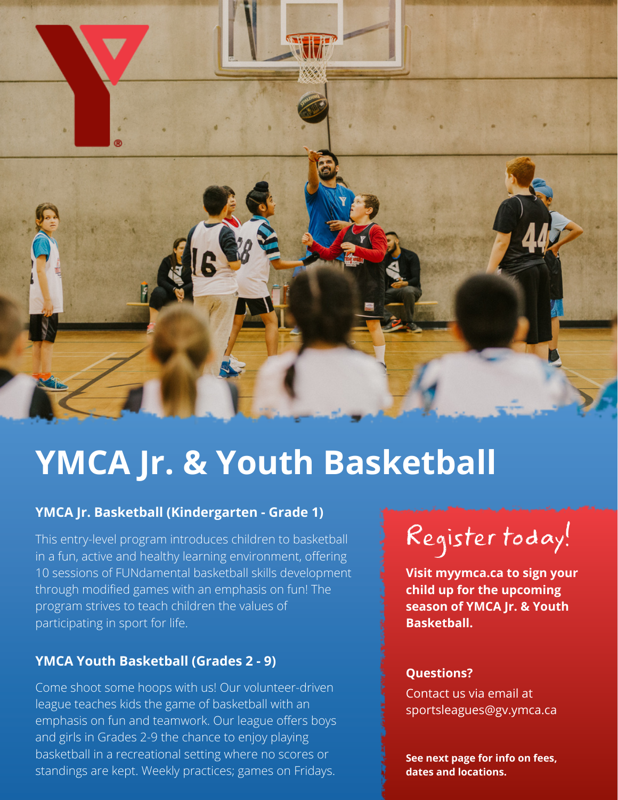

# **YMCA Jr. & Youth Basketball**

## **YMCA Jr. Basketball (Kindergarten - Grade 1)**

This entry-level program introduces children to basketball in a fun, active and healthy learning environment, offering 10 sessions of FUNdamental basketball skills development through modified games with an emphasis on fun! The program strives to teach children the values of participating in sport for life.

## **YMCA Youth Basketball (Grades 2 - 9)**

Come shoot some hoops with us! Our volunteer-driven league teaches kids the game of basketball with an emphasis on fun and teamwork. Our league offers boys and girls in Grades 2-9 the chance to enjoy playing basketball in a recreational setting where no scores or standings are kept. Weekly practices; games on Fridays.



**Visit myymca.ca to sign your child up for the upcoming season of YMCA Jr. & Youth Basketball.**

#### **Questions?**

Contact us via email at sportsleagues@gv.ymca.ca

**See next page for info on fees, dates and locations.**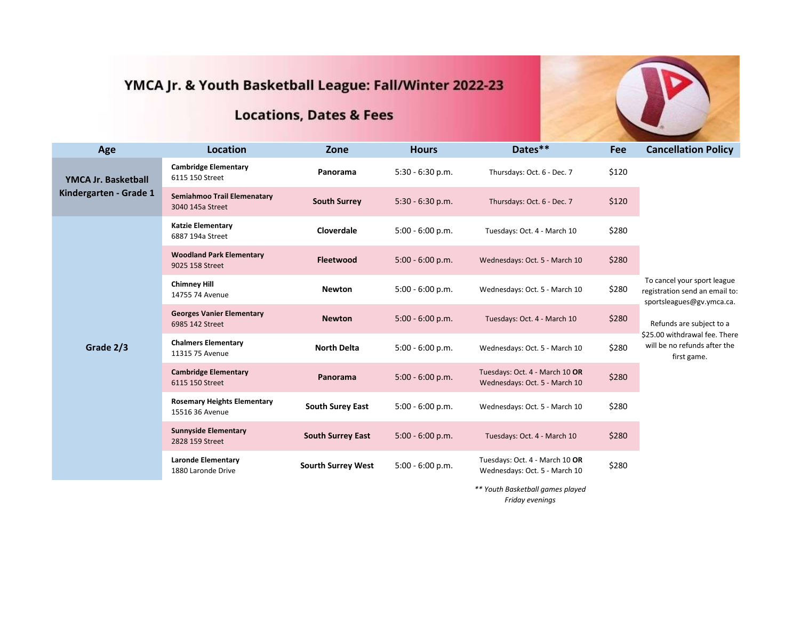# YMCA Jr. & Youth Basketball League: Fall/Winter 2022-23

## **Locations, Dates & Fees**

| Age                                                  | <b>Location</b>                                       | Zone                      | <b>Hours</b>       | Dates**                                                         | <b>Fee</b> | <b>Cancellation Policy</b>                                                                                                                                                                             |
|------------------------------------------------------|-------------------------------------------------------|---------------------------|--------------------|-----------------------------------------------------------------|------------|--------------------------------------------------------------------------------------------------------------------------------------------------------------------------------------------------------|
| <b>YMCA Jr. Basketball</b><br>Kindergarten - Grade 1 | <b>Cambridge Elementary</b><br>6115 150 Street        | Panorama                  | $5:30 - 6:30 p.m.$ | Thursdays: Oct. 6 - Dec. 7                                      | \$120      |                                                                                                                                                                                                        |
|                                                      | Semiahmoo Trail Elemenatary<br>3040 145a Street       | <b>South Surrey</b>       | $5:30 - 6:30 p.m.$ | Thursdays: Oct. 6 - Dec. 7                                      | \$120      |                                                                                                                                                                                                        |
| Grade 2/3                                            | <b>Katzie Elementary</b><br>6887 194a Street          | Cloverdale                | $5:00 - 6:00 p.m.$ | Tuesdays: Oct. 4 - March 10                                     | \$280      | To cancel your sport league<br>registration send an email to:<br>sportsleagues@gv.ymca.ca.<br>Refunds are subject to a<br>\$25.00 withdrawal fee. There<br>will be no refunds after the<br>first game. |
|                                                      | <b>Woodland Park Elementary</b><br>9025 158 Street    | <b>Fleetwood</b>          | $5:00 - 6:00 p.m.$ | Wednesdays: Oct. 5 - March 10                                   | \$280      |                                                                                                                                                                                                        |
|                                                      | <b>Chimney Hill</b><br>14755 74 Avenue                | <b>Newton</b>             | $5:00 - 6:00 p.m.$ | Wednesdays: Oct. 5 - March 10                                   | \$280      |                                                                                                                                                                                                        |
|                                                      | <b>Georges Vanier Elementary</b><br>6985 142 Street   | <b>Newton</b>             | $5:00 - 6:00 p.m.$ | Tuesdays: Oct. 4 - March 10                                     | \$280      |                                                                                                                                                                                                        |
|                                                      | <b>Chalmers Elementary</b><br>11315 75 Avenue         | <b>North Delta</b>        | $5:00 - 6:00 p.m.$ | Wednesdays: Oct. 5 - March 10                                   | \$280      |                                                                                                                                                                                                        |
|                                                      | <b>Cambridge Elementary</b><br>6115 150 Street        | Panorama                  | $5:00 - 6:00 p.m.$ | Tuesdays: Oct. 4 - March 10 OR<br>Wednesdays: Oct. 5 - March 10 | \$280      |                                                                                                                                                                                                        |
|                                                      | <b>Rosemary Heights Elementary</b><br>15516 36 Avenue | <b>South Surey East</b>   | $5:00 - 6:00 p.m.$ | Wednesdays: Oct. 5 - March 10                                   | \$280      |                                                                                                                                                                                                        |
|                                                      | <b>Sunnyside Elementary</b><br>2828 159 Street        | <b>South Surrey East</b>  | $5:00 - 6:00 p.m.$ | Tuesdays: Oct. 4 - March 10                                     | \$280      |                                                                                                                                                                                                        |
|                                                      | <b>Laronde Elementary</b><br>1880 Laronde Drive       | <b>Sourth Surrey West</b> | $5:00 - 6:00 p.m.$ | Tuesdays: Oct. 4 - March 10 OR<br>Wednesdays: Oct. 5 - March 10 | \$280      |                                                                                                                                                                                                        |
|                                                      |                                                       |                           |                    | ** Youth Basketball games played                                |            |                                                                                                                                                                                                        |

*Friday evenings*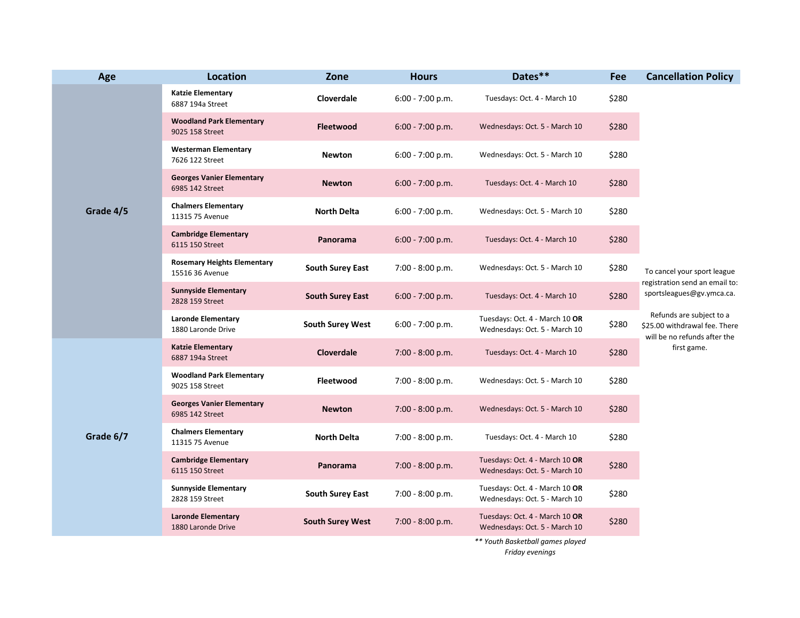| Age       | <b>Location</b>                                       | Zone                    | <b>Hours</b>       | Dates**                                                         | Fee   | <b>Cancellation Policy</b>                                                                                                                                                                             |
|-----------|-------------------------------------------------------|-------------------------|--------------------|-----------------------------------------------------------------|-------|--------------------------------------------------------------------------------------------------------------------------------------------------------------------------------------------------------|
| Grade 4/5 | <b>Katzie Elementary</b><br>6887 194a Street          | Cloverdale              | $6:00 - 7:00 p.m.$ | Tuesdays: Oct. 4 - March 10                                     | \$280 | To cancel your sport league<br>registration send an email to:<br>sportsleagues@gv.ymca.ca.<br>Refunds are subject to a<br>\$25.00 withdrawal fee. There<br>will be no refunds after the<br>first game. |
|           | <b>Woodland Park Elementary</b><br>9025 158 Street    | <b>Fleetwood</b>        | $6:00 - 7:00 p.m.$ | Wednesdays: Oct. 5 - March 10                                   | \$280 |                                                                                                                                                                                                        |
|           | <b>Westerman Elementary</b><br>7626 122 Street        | <b>Newton</b>           | $6:00 - 7:00 p.m.$ | Wednesdays: Oct. 5 - March 10                                   | \$280 |                                                                                                                                                                                                        |
|           | <b>Georges Vanier Elementary</b><br>6985 142 Street   | <b>Newton</b>           | $6:00 - 7:00 p.m.$ | Tuesdays: Oct. 4 - March 10                                     | \$280 |                                                                                                                                                                                                        |
|           | <b>Chalmers Elementary</b><br>11315 75 Avenue         | <b>North Delta</b>      | $6:00 - 7:00 p.m.$ | Wednesdays: Oct. 5 - March 10                                   | \$280 |                                                                                                                                                                                                        |
|           | <b>Cambridge Elementary</b><br>6115 150 Street        | Panorama                | 6:00 - 7:00 p.m.   | Tuesdays: Oct. 4 - March 10                                     | \$280 |                                                                                                                                                                                                        |
|           | <b>Rosemary Heights Elementary</b><br>15516 36 Avenue | <b>South Surey East</b> | $7:00 - 8:00 p.m.$ | Wednesdays: Oct. 5 - March 10                                   | \$280 |                                                                                                                                                                                                        |
|           | <b>Sunnyside Elementary</b><br>2828 159 Street        | <b>South Surey East</b> | $6:00 - 7:00 p.m.$ | Tuesdays: Oct. 4 - March 10                                     | \$280 |                                                                                                                                                                                                        |
|           | <b>Laronde Elementary</b><br>1880 Laronde Drive       | <b>South Surey West</b> | $6:00 - 7:00 p.m.$ | Tuesdays: Oct. 4 - March 10 OR<br>Wednesdays: Oct. 5 - March 10 | \$280 |                                                                                                                                                                                                        |
| Grade 6/7 | <b>Katzie Elementary</b><br>6887 194a Street          | Cloverdale              | $7:00 - 8:00 p.m.$ | Tuesdays: Oct. 4 - March 10                                     | \$280 |                                                                                                                                                                                                        |
|           | <b>Woodland Park Elementary</b><br>9025 158 Street    | Fleetwood               | $7:00 - 8:00 p.m.$ | Wednesdays: Oct. 5 - March 10                                   | \$280 |                                                                                                                                                                                                        |
|           | <b>Georges Vanier Elementary</b><br>6985 142 Street   | <b>Newton</b>           | $7:00 - 8:00 p.m.$ | Wednesdays: Oct. 5 - March 10                                   | \$280 |                                                                                                                                                                                                        |
|           | <b>Chalmers Elementary</b><br>11315 75 Avenue         | <b>North Delta</b>      | $7:00 - 8:00 p.m.$ | Tuesdays: Oct. 4 - March 10                                     | \$280 |                                                                                                                                                                                                        |
|           | <b>Cambridge Elementary</b><br>6115 150 Street        | Panorama                | $7:00 - 8:00 p.m.$ | Tuesdays: Oct. 4 - March 10 OR<br>Wednesdays: Oct. 5 - March 10 | \$280 |                                                                                                                                                                                                        |
|           | <b>Sunnyside Elementary</b><br>2828 159 Street        | <b>South Surey East</b> | 7:00 - 8:00 p.m.   | Tuesdays: Oct. 4 - March 10 OR<br>Wednesdays: Oct. 5 - March 10 | \$280 |                                                                                                                                                                                                        |
|           | <b>Laronde Elementary</b><br>1880 Laronde Drive       | <b>South Surey West</b> | $7:00 - 8:00 p.m.$ | Tuesdays: Oct. 4 - March 10 OR<br>Wednesdays: Oct. 5 - March 10 | \$280 |                                                                                                                                                                                                        |
|           |                                                       |                         |                    | ** Youth Basketball games played                                |       |                                                                                                                                                                                                        |

*Friday evenings*